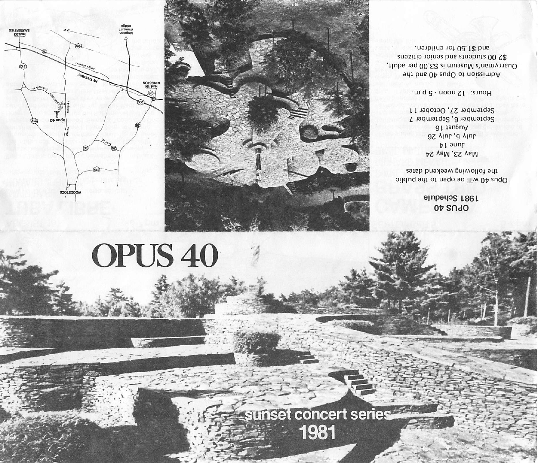# sunset concert series 1981

# OPUS 40





### $0\nu$  SndO 1981 Schedule

Opus 40 will be open to the public the following weekend dates

May 23, May 24 June 14 July 5. July 26 August 16 September 6, September 7 September 27, October 11

Hours: 12 noon - 5 p.m.

Admission to Opus 40 and the Quarryman's Museum is S3.00 per adult, \$2.00 students and senior citizens an \$1.50 to r children.